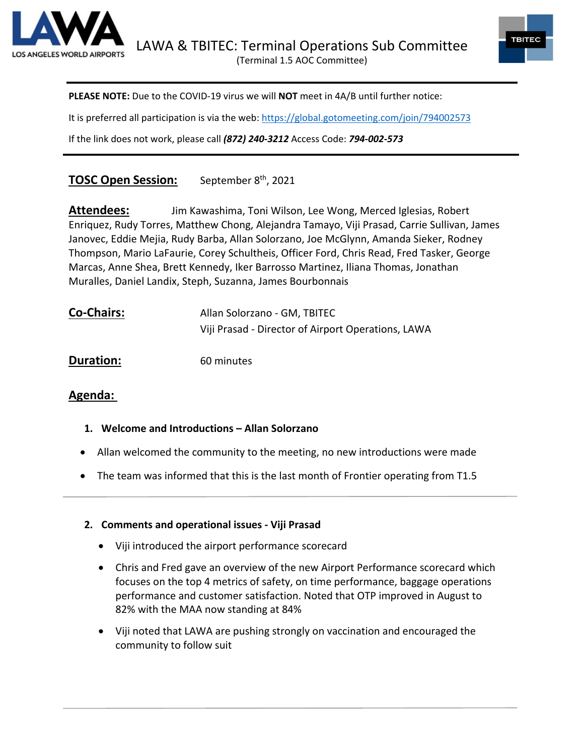



**PLEASE NOTE:** Due to the COVID-19 virus we will **NOT** meet in 4A/B until further notice:

It is preferred all participation is via the web:<https://global.gotomeeting.com/join/794002573>

If the link does not work, please call *(872) 240-3212* Access Code: *794-002-573*

# **TOSC Open Session:** September 8<sup>th</sup>, 2021

**Attendees:** Jim Kawashima, Toni Wilson, Lee Wong, Merced Iglesias, Robert Enriquez, Rudy Torres, Matthew Chong, Alejandra Tamayo, Viji Prasad, Carrie Sullivan, James Janovec, Eddie Mejia, Rudy Barba, Allan Solorzano, Joe McGlynn, Amanda Sieker, Rodney Thompson, Mario LaFaurie, Corey Schultheis, Officer Ford, Chris Read, Fred Tasker, George Marcas, Anne Shea, Brett Kennedy, Iker Barrosso Martinez, Iliana Thomas, Jonathan Muralles, Daniel Landix, Steph, Suzanna, James Bourbonnais

| <b>Co-Chairs:</b> | Allan Solorzano - GM, TBITEC                       |
|-------------------|----------------------------------------------------|
|                   | Viji Prasad - Director of Airport Operations, LAWA |

**Duration:** 60 minutes

# **Agenda:**

- **1. Welcome and Introductions – Allan Solorzano**
- Allan welcomed the community to the meeting, no new introductions were made
- The team was informed that this is the last month of Frontier operating from T1.5

#### **2. Comments and operational issues - Viji Prasad**

- Viji introduced the airport performance scorecard
- Chris and Fred gave an overview of the new Airport Performance scorecard which focuses on the top 4 metrics of safety, on time performance, baggage operations performance and customer satisfaction. Noted that OTP improved in August to 82% with the MAA now standing at 84%
- Viji noted that LAWA are pushing strongly on vaccination and encouraged the community to follow suit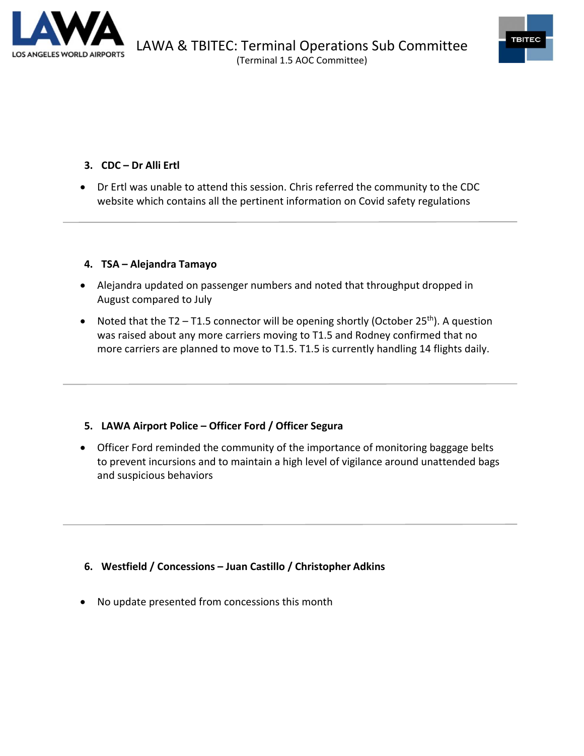



## **3. CDC – Dr Alli Ertl**

• Dr Ertl was unable to attend this session. Chris referred the community to the CDC website which contains all the pertinent information on Covid safety regulations

#### **4. TSA – Alejandra Tamayo**

- Alejandra updated on passenger numbers and noted that throughput dropped in August compared to July
- Noted that the T2 T1.5 connector will be opening shortly (October 25<sup>th</sup>). A question was raised about any more carriers moving to T1.5 and Rodney confirmed that no more carriers are planned to move to T1.5. T1.5 is currently handling 14 flights daily.

#### **5. LAWA Airport Police – Officer Ford / Officer Segura**

• Officer Ford reminded the community of the importance of monitoring baggage belts to prevent incursions and to maintain a high level of vigilance around unattended bags and suspicious behaviors

# **6. Westfield / Concessions – Juan Castillo / Christopher Adkins**

• No update presented from concessions this month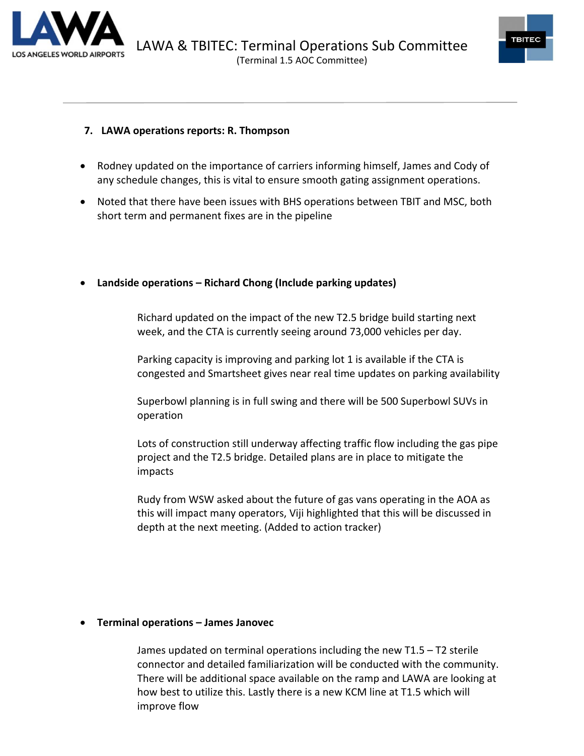



### **7. LAWA operations reports: R. Thompson**

- Rodney updated on the importance of carriers informing himself, James and Cody of any schedule changes, this is vital to ensure smooth gating assignment operations.
- Noted that there have been issues with BHS operations between TBIT and MSC, both short term and permanent fixes are in the pipeline

#### • **Landside operations – Richard Chong (Include parking updates)**

Richard updated on the impact of the new T2.5 bridge build starting next week, and the CTA is currently seeing around 73,000 vehicles per day.

Parking capacity is improving and parking lot 1 is available if the CTA is congested and Smartsheet gives near real time updates on parking availability

Superbowl planning is in full swing and there will be 500 Superbowl SUVs in operation

Lots of construction still underway affecting traffic flow including the gas pipe project and the T2.5 bridge. Detailed plans are in place to mitigate the impacts

Rudy from WSW asked about the future of gas vans operating in the AOA as this will impact many operators, Viji highlighted that this will be discussed in depth at the next meeting. (Added to action tracker)

#### • **Terminal operations – James Janovec**

James updated on terminal operations including the new T1.5 – T2 sterile connector and detailed familiarization will be conducted with the community. There will be additional space available on the ramp and LAWA are looking at how best to utilize this. Lastly there is a new KCM line at T1.5 which will improve flow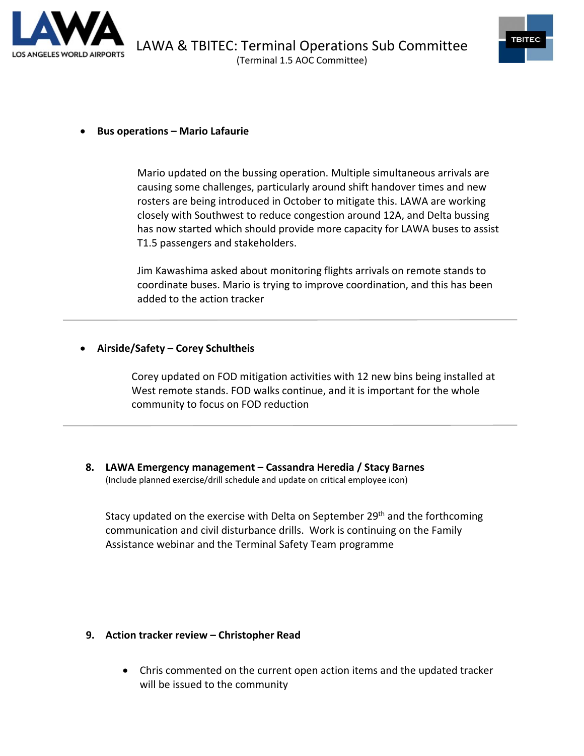



#### • **Bus operations – Mario Lafaurie**

Mario updated on the bussing operation. Multiple simultaneous arrivals are causing some challenges, particularly around shift handover times and new rosters are being introduced in October to mitigate this. LAWA are working closely with Southwest to reduce congestion around 12A, and Delta bussing has now started which should provide more capacity for LAWA buses to assist T1.5 passengers and stakeholders.

Jim Kawashima asked about monitoring flights arrivals on remote stands to coordinate buses. Mario is trying to improve coordination, and this has been added to the action tracker

#### • **Airside/Safety – Corey Schultheis**

Corey updated on FOD mitigation activities with 12 new bins being installed at West remote stands. FOD walks continue, and it is important for the whole community to focus on FOD reduction

**8. LAWA Emergency management – Cassandra Heredia / Stacy Barnes** (Include planned exercise/drill schedule and update on critical employee icon)

Stacy updated on the exercise with Delta on September 29<sup>th</sup> and the forthcoming communication and civil disturbance drills. Work is continuing on the Family Assistance webinar and the Terminal Safety Team programme

#### **9. Action tracker review – Christopher Read**

• Chris commented on the current open action items and the updated tracker will be issued to the community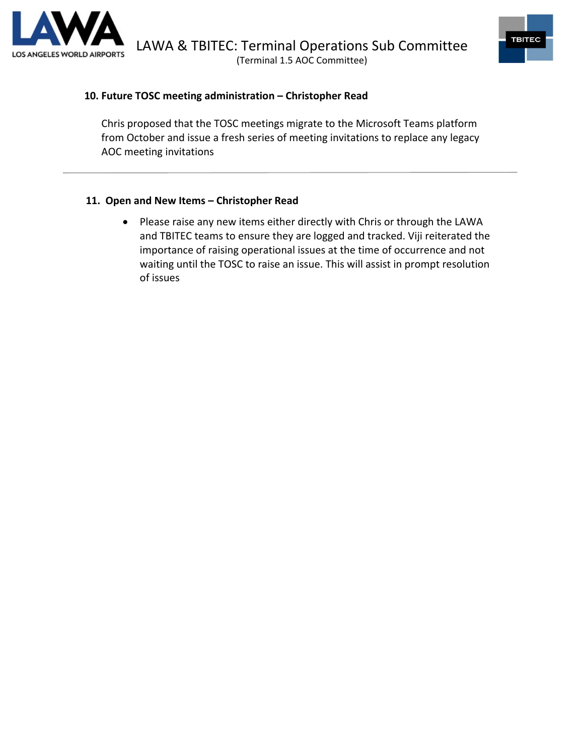



#### **10. Future TOSC meeting administration – Christopher Read**

Chris proposed that the TOSC meetings migrate to the Microsoft Teams platform from October and issue a fresh series of meeting invitations to replace any legacy AOC meeting invitations

#### **11. Open and New Items – Christopher Read**

• Please raise any new items either directly with Chris or through the LAWA and TBITEC teams to ensure they are logged and tracked. Viji reiterated the importance of raising operational issues at the time of occurrence and not waiting until the TOSC to raise an issue. This will assist in prompt resolution of issues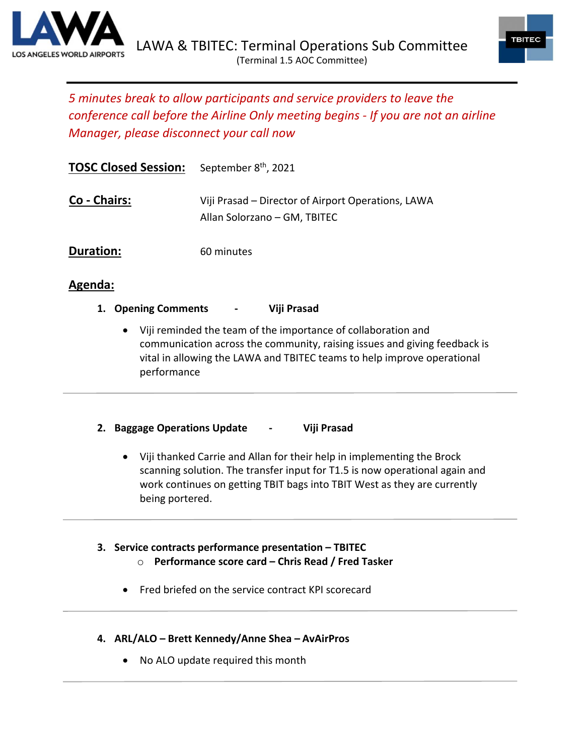



# *5 minutes break to allow participants and service providers to leave the conference call before the Airline Only meeting begins - If you are not an airline Manager, please disconnect your call now*

| <b>TOSC Closed Session:</b> | September 8 <sup>th</sup> , 2021                                                   |
|-----------------------------|------------------------------------------------------------------------------------|
| Co - Chairs:                | Viji Prasad – Director of Airport Operations, LAWA<br>Allan Solorzano – GM, TBITEC |
| Duration:                   | 60 minutes                                                                         |

# **Agenda:**

- **1. Opening Comments - Viji Prasad**
	- Viji reminded the team of the importance of collaboration and communication across the community, raising issues and giving feedback is vital in allowing the LAWA and TBITEC teams to help improve operational performance

# **2. Baggage Operations Update - Viji Prasad**

• Viji thanked Carrie and Allan for their help in implementing the Brock scanning solution. The transfer input for T1.5 is now operational again and work continues on getting TBIT bags into TBIT West as they are currently being portered.

#### **3. Service contracts performance presentation – TBITEC** o **Performance score card – Chris Read / Fred Tasker**

- Fred briefed on the service contract KPI scorecard
- **4. ARL/ALO – Brett Kennedy/Anne Shea – AvAirPros**
	- No ALO update required this month